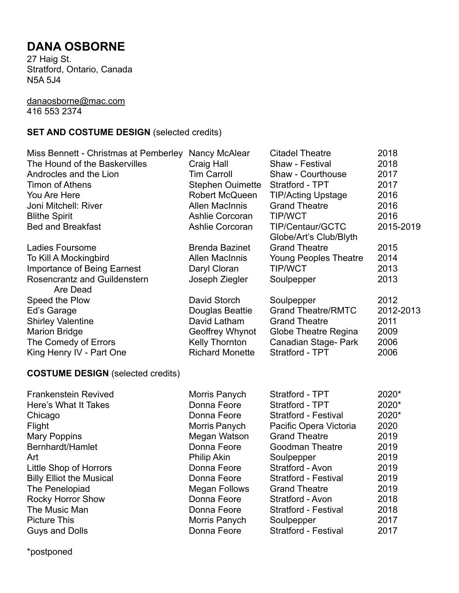# **DANA OSBORNE**

27 Haig St. Stratford, Ontario, Canada N5A 5J4

#### [danaosborne@mac.com](mailto:danaosborne@mac.com) 416 553 2374

# **SET AND COSTUME DESIGN** (selected credits)

| Miss Bennett - Christmas at Pemberley    | Nancy McAlear           | <b>Citadel Theatre</b>                     | 2018      |
|------------------------------------------|-------------------------|--------------------------------------------|-----------|
| The Hound of the Baskervilles            | Craig Hall              | Shaw - Festival                            | 2018      |
| Androcles and the Lion                   | Tim Carroll             | Shaw - Courthouse                          | 2017      |
| <b>Timon of Athens</b>                   | <b>Stephen Ouimette</b> | Stratford - TPT                            | 2017      |
| You Are Here                             | Robert McQueen          | <b>TIP/Acting Upstage</b>                  | 2016      |
| Joni Mitchell: River                     | Allen MacInnis          | <b>Grand Theatre</b>                       | 2016      |
| <b>Blithe Spirit</b>                     | <b>Ashlie Corcoran</b>  | <b>TIP/WCT</b>                             | 2016      |
| <b>Bed and Breakfast</b>                 | Ashlie Corcoran         | TIP/Centaur/GCTC<br>Globe/Art's Club/Blyth | 2015-2019 |
| Ladies Foursome                          | <b>Brenda Bazinet</b>   | <b>Grand Theatre</b>                       | 2015      |
| To Kill A Mockingbird                    | <b>Allen MacInnis</b>   | <b>Young Peoples Theatre</b>               | 2014      |
| <b>Importance of Being Earnest</b>       | Daryl Cloran            | <b>TIP/WCT</b>                             | 2013      |
| Rosencrantz and Guildenstern<br>Are Dead | Joseph Ziegler          | Soulpepper                                 | 2013      |
| Speed the Plow                           | David Storch            | Soulpepper                                 | 2012      |
| Ed's Garage                              | Douglas Beattie         | <b>Grand Theatre/RMTC</b>                  | 2012-2013 |
| <b>Shirley Valentine</b>                 | David Latham            | <b>Grand Theatre</b>                       | 2011      |
| <b>Marion Bridge</b>                     | Geoffrey Whynot         | Globe Theatre Regina                       | 2009      |
| The Comedy of Errors                     | Kelly Thornton          | Canadian Stage- Park                       | 2006      |
| King Henry IV - Part One                 | <b>Richard Monette</b>  | Stratford - TPT                            | 2006      |
|                                          |                         |                                            |           |

## **COSTUME DESIGN** (selected credits)

| Frankenstein Revived            | Morris Panych        | Stratford - TPT             | 2020* |
|---------------------------------|----------------------|-----------------------------|-------|
| Here's What It Takes            | Donna Feore          | Stratford - TPT             | 2020* |
| Chicago                         | Donna Feore          | <b>Stratford - Festival</b> | 2020* |
| Flight                          | Morris Panych        | Pacific Opera Victoria      | 2020  |
| <b>Mary Poppins</b>             | Megan Watson         | <b>Grand Theatre</b>        | 2019  |
| Bernhardt/Hamlet                | Donna Feore          | <b>Goodman Theatre</b>      | 2019  |
| Art                             | <b>Philip Akin</b>   | Soulpepper                  | 2019  |
| Little Shop of Horrors          | Donna Feore          | Stratford - Avon            | 2019  |
| <b>Billy Elliot the Musical</b> | Donna Feore          | <b>Stratford - Festival</b> | 2019  |
| The Penelopiad                  | <b>Megan Follows</b> | <b>Grand Theatre</b>        | 2019  |
| <b>Rocky Horror Show</b>        | Donna Feore          | Stratford - Avon            | 2018  |
| The Music Man                   | Donna Feore          | <b>Stratford - Festival</b> | 2018  |
| <b>Picture This</b>             | Morris Panych        | Soulpepper                  | 2017  |
| <b>Guys and Dolls</b>           | Donna Feore          | <b>Stratford - Festival</b> | 2017  |

\*postponed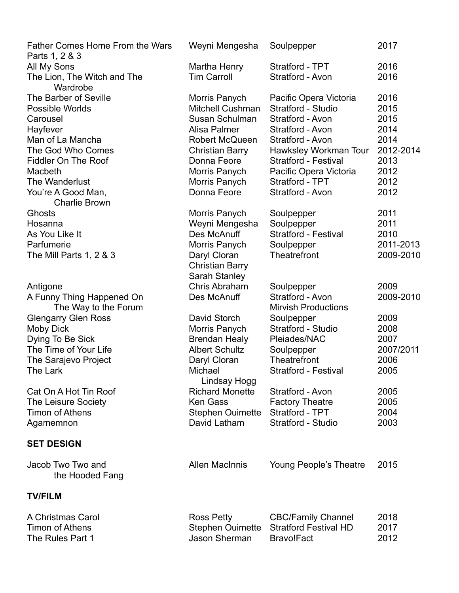| Father Comes Home From the Wars<br>Parts 1, 2 & 3 | Weyni Mengesha          | Soulpepper                   | 2017      |
|---------------------------------------------------|-------------------------|------------------------------|-----------|
| All My Sons                                       | Martha Henry            | Stratford - TPT              | 2016      |
| The Lion, The Witch and The                       | <b>Tim Carroll</b>      | Stratford - Avon             | 2016      |
| Wardrobe                                          |                         |                              |           |
| The Barber of Seville                             | Morris Panych           | Pacific Opera Victoria       | 2016      |
| <b>Possible Worlds</b>                            | <b>Mitchell Cushman</b> | Stratford - Studio           | 2015      |
| Carousel                                          | Susan Schulman          | Stratford - Avon             | 2015      |
| Hayfever                                          | Alisa Palmer            | Stratford - Avon             | 2014      |
| Man of La Mancha                                  | Robert McQueen          | Stratford - Avon             | 2014      |
| The God Who Comes                                 | <b>Christian Barry</b>  | Hawksley Workman Tour        | 2012-2014 |
| <b>Fiddler On The Roof</b>                        | Donna Feore             | <b>Stratford - Festival</b>  | 2013      |
| Macbeth                                           | Morris Panych           | Pacific Opera Victoria       | 2012      |
| The Wanderlust                                    | Morris Panych           | Stratford - TPT              | 2012      |
| You're A Good Man,                                | Donna Feore             | Stratford - Avon             | 2012      |
| <b>Charlie Brown</b>                              |                         |                              |           |
| <b>Ghosts</b>                                     | Morris Panych           | Soulpepper                   | 2011      |
| Hosanna                                           | Weyni Mengesha          | Soulpepper                   | 2011      |
| As You Like It                                    | Des McAnuff             | <b>Stratford - Festival</b>  | 2010      |
| Parfumerie                                        | Morris Panych           | Soulpepper                   | 2011-2013 |
| The Mill Parts 1, 2 & 3                           | Daryl Cloran            | Theatrefront                 | 2009-2010 |
|                                                   | <b>Christian Barry</b>  |                              |           |
|                                                   | Sarah Stanley           |                              |           |
| Antigone                                          | Chris Abraham           | Soulpepper                   | 2009      |
| A Funny Thing Happened On                         | Des McAnuff             | Stratford - Avon             | 2009-2010 |
| The Way to the Forum                              |                         | <b>Mirvish Productions</b>   |           |
| <b>Glengarry Glen Ross</b>                        | David Storch            | Soulpepper                   | 2009      |
| Moby Dick                                         | Morris Panych           | Stratford - Studio           | 2008      |
| Dying To Be Sick                                  | <b>Brendan Healy</b>    | Pleiades/NAC                 | 2007      |
| The Time of Your Life                             | <b>Albert Schultz</b>   | Soulpepper                   | 2007/2011 |
| The Sarajevo Project                              | Daryl Cloran            | <b>Theatrefront</b>          | 2006      |
| The Lark                                          | Michael<br>Lindsay Hogg | <b>Stratford - Festival</b>  | 2005      |
| Cat On A Hot Tin Roof                             | <b>Richard Monette</b>  | Stratford - Avon             | 2005      |
| <b>The Leisure Society</b>                        | Ken Gass                | <b>Factory Theatre</b>       | 2005      |
| <b>Timon of Athens</b>                            | <b>Stephen Ouimette</b> | Stratford - TPT              | 2004      |
| Agamemnon                                         | David Latham            | Stratford - Studio           | 2003      |
|                                                   |                         |                              |           |
| <b>SET DESIGN</b>                                 |                         |                              |           |
| Jacob Two Two and                                 | <b>Allen MacInnis</b>   | Young People's Theatre       | 2015      |
| the Hooded Fang                                   |                         |                              |           |
| <b>TV/FILM</b>                                    |                         |                              |           |
| A Christmas Carol                                 | <b>Ross Petty</b>       | <b>CBC/Family Channel</b>    | 2018      |
| <b>Timon of Athens</b>                            | <b>Stephen Ouimette</b> | <b>Stratford Festival HD</b> | 2017      |
| The Rules Part 1                                  | <b>Jason Sherman</b>    | Bravo!Fact                   | 2012      |